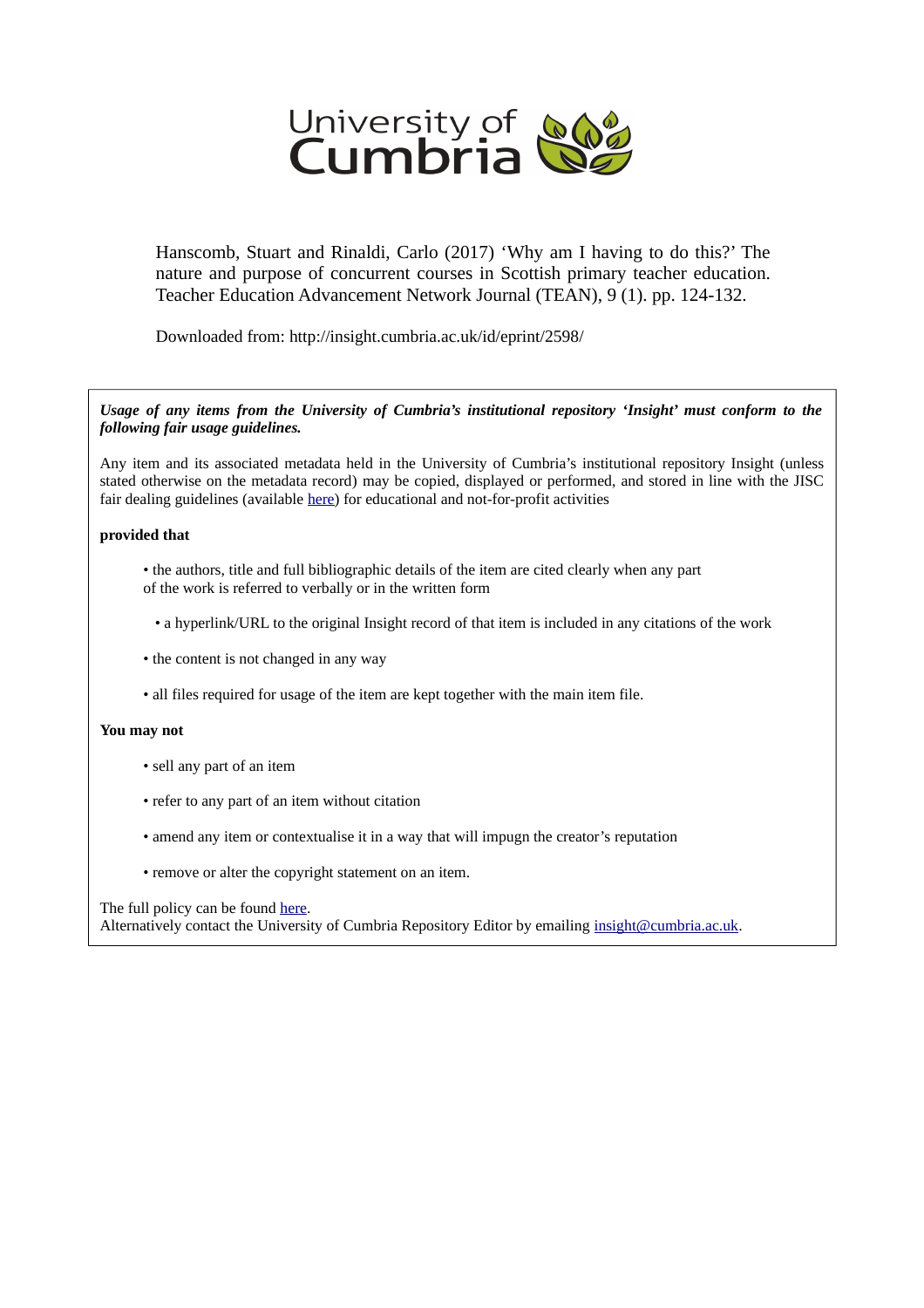

Hanscomb, Stuart and Rinaldi, Carlo (2017) 'Why am I having to do this?' The nature and purpose of concurrent courses in Scottish primary teacher education. Teacher Education Advancement Network Journal (TEAN), 9 (1). pp. 124-132.

Downloaded from: http://insight.cumbria.ac.uk/id/eprint/2598/

#### *Usage of any items from the University of Cumbria's institutional repository 'Insight' must conform to the following fair usage guidelines.*

Any item and its associated metadata held in the University of Cumbria's institutional repository Insight (unless stated otherwise on the metadata record) may be copied, displayed or performed, and stored in line with the JISC fair dealing guidelines (available [here\)](http://www.ukoln.ac.uk/services/elib/papers/pa/fair/) for educational and not-for-profit activities

#### **provided that**

- the authors, title and full bibliographic details of the item are cited clearly when any part of the work is referred to verbally or in the written form
	- a hyperlink/URL to the original Insight record of that item is included in any citations of the work
- the content is not changed in any way
- all files required for usage of the item are kept together with the main item file.

#### **You may not**

- sell any part of an item
- refer to any part of an item without citation
- amend any item or contextualise it in a way that will impugn the creator's reputation
- remove or alter the copyright statement on an item.

#### The full policy can be found [here.](http://insight.cumbria.ac.uk/legal.html#section5)

Alternatively contact the University of Cumbria Repository Editor by emailing [insight@cumbria.ac.uk.](mailto:insight@cumbria.ac.uk)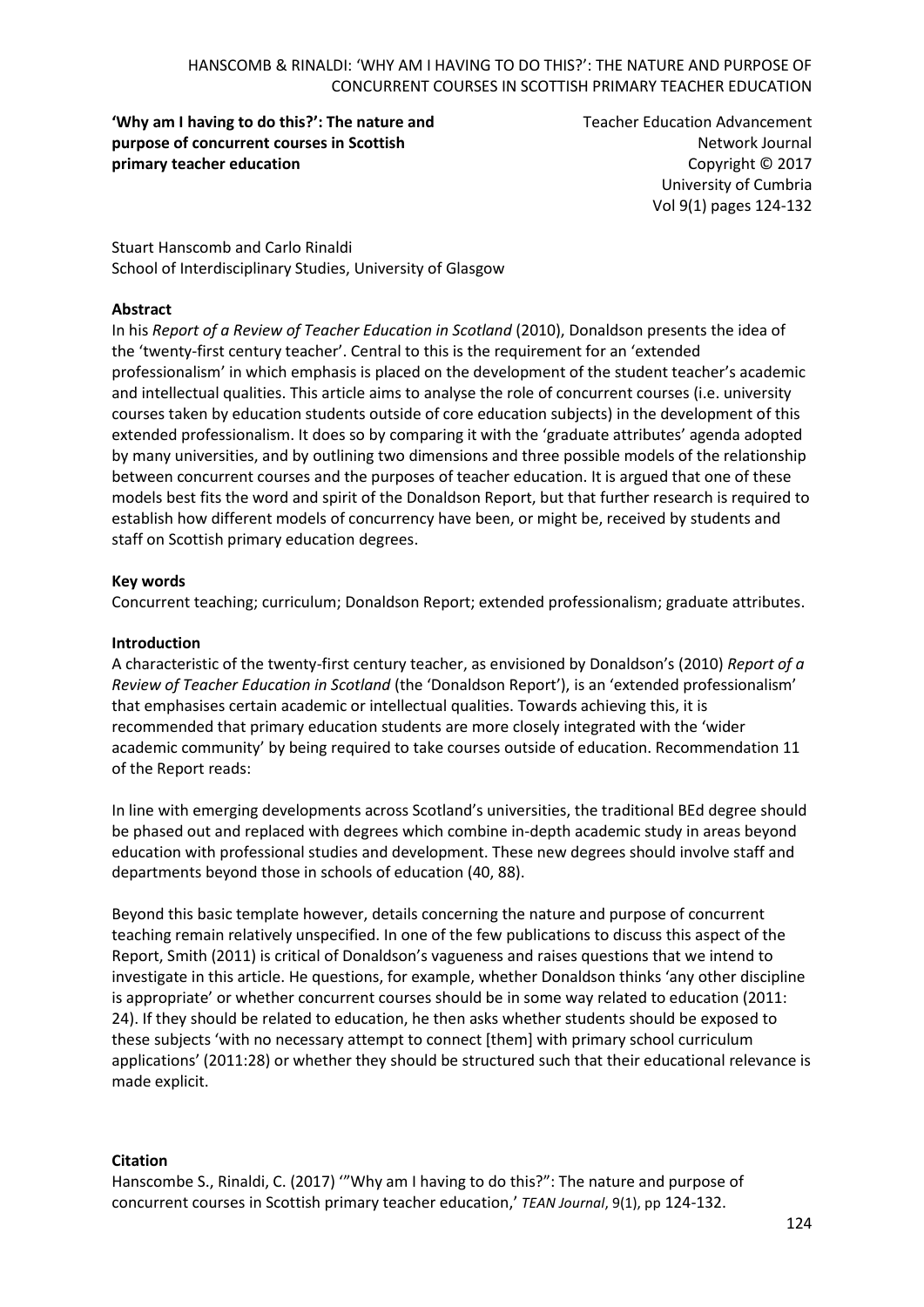**'Why am I having to do this?': The nature and purpose of concurrent courses in Scottish primary teacher education** 

Teacher Education Advancement Network Journal Copyright © 2017 University of Cumbria Vol 9(1) pages 124-132

Stuart Hanscomb and Carlo Rinaldi School of Interdisciplinary Studies, University of Glasgow

### **Abstract**

In his *Report of a Review of Teacher Education in Scotland* (2010), Donaldson presents the idea of the 'twenty-first century teacher'. Central to this is the requirement for an 'extended professionalism' in which emphasis is placed on the development of the student teacher's academic and intellectual qualities. This article aims to analyse the role of concurrent courses (i.e. university courses taken by education students outside of core education subjects) in the development of this extended professionalism. It does so by comparing it with the 'graduate attributes' agenda adopted by many universities, and by outlining two dimensions and three possible models of the relationship between concurrent courses and the purposes of teacher education. It is argued that one of these models best fits the word and spirit of the Donaldson Report, but that further research is required to establish how different models of concurrency have been, or might be, received by students and staff on Scottish primary education degrees.

### **Key words**

Concurrent teaching; curriculum; Donaldson Report; extended professionalism; graduate attributes.

### **Introduction**

A characteristic of the twenty-first century teacher, as envisioned by Donaldson's (2010) *Report of a Review of Teacher Education in Scotland* (the 'Donaldson Report'), is an 'extended professionalism' that emphasises certain academic or intellectual qualities. Towards achieving this, it is recommended that primary education students are more closely integrated with the 'wider academic community' by being required to take courses outside of education. Recommendation 11 of the Report reads:

In line with emerging developments across Scotland's universities, the traditional BEd degree should be phased out and replaced with degrees which combine in-depth academic study in areas beyond education with professional studies and development. These new degrees should involve staff and departments beyond those in schools of education (40, 88).

Beyond this basic template however, details concerning the nature and purpose of concurrent teaching remain relatively unspecified. In one of the few publications to discuss this aspect of the Report, Smith (2011) is critical of Donaldson's vagueness and raises questions that we intend to investigate in this article. He questions, for example, whether Donaldson thinks 'any other discipline is appropriate' or whether concurrent courses should be in some way related to education (2011: 24). If they should be related to education, he then asks whether students should be exposed to these subjects 'with no necessary attempt to connect [them] with primary school curriculum applications' (2011:28) or whether they should be structured such that their educational relevance is made explicit.

#### **Citation**

Hanscombe S., Rinaldi, C. (2017) '"Why am I having to do this?": The nature and purpose of concurrent courses in Scottish primary teacher education,' *TEAN Journal*, 9(1), pp 124-132.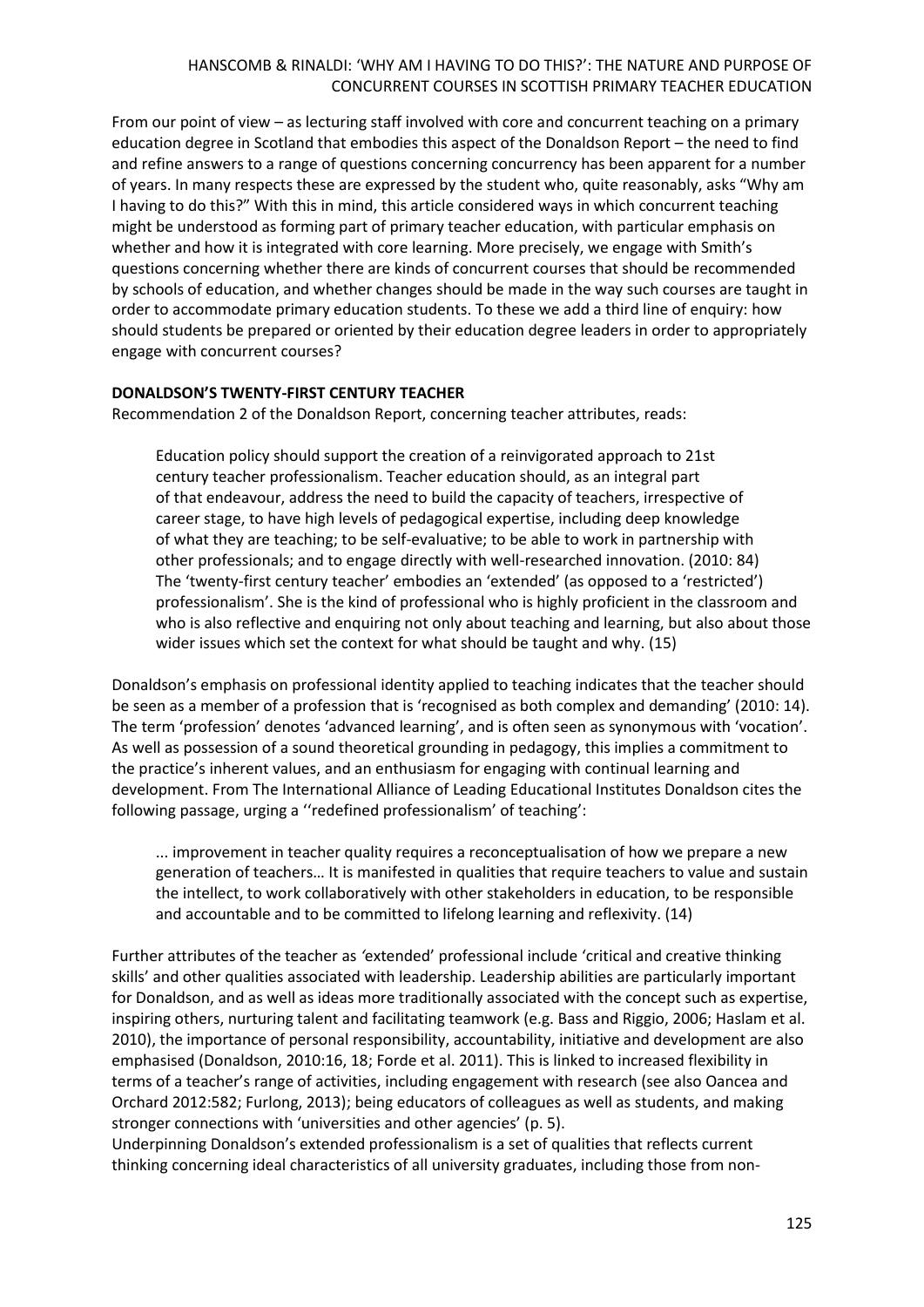From our point of view – as lecturing staff involved with core and concurrent teaching on a primary education degree in Scotland that embodies this aspect of the Donaldson Report – the need to find and refine answers to a range of questions concerning concurrency has been apparent for a number of years. In many respects these are expressed by the student who, quite reasonably, asks "Why am I having to do this?" With this in mind, this article considered ways in which concurrent teaching might be understood as forming part of primary teacher education, with particular emphasis on whether and how it is integrated with core learning. More precisely, we engage with Smith's questions concerning whether there are kinds of concurrent courses that should be recommended by schools of education, and whether changes should be made in the way such courses are taught in order to accommodate primary education students. To these we add a third line of enquiry: how should students be prepared or oriented by their education degree leaders in order to appropriately engage with concurrent courses?

## **DONALDSON'S TWENTY-FIRST CENTURY TEACHER**

Recommendation 2 of the Donaldson Report, concerning teacher attributes, reads:

Education policy should support the creation of a reinvigorated approach to 21st century teacher professionalism. Teacher education should, as an integral part of that endeavour, address the need to build the capacity of teachers, irrespective of career stage, to have high levels of pedagogical expertise, including deep knowledge of what they are teaching; to be self-evaluative; to be able to work in partnership with other professionals; and to engage directly with well-researched innovation. (2010: 84) The 'twenty-first century teacher' embodies an 'extended' (as opposed to a 'restricted') professionalism'. She is the kind of professional who is highly proficient in the classroom and who is also reflective and enquiring not only about teaching and learning, but also about those wider issues which set the context for what should be taught and why. (15)

Donaldson's emphasis on professional identity applied to teaching indicates that the teacher should be seen as a member of a profession that is 'recognised as both complex and demanding' (2010: 14). The term 'profession' denotes 'advanced learning', and is often seen as synonymous with 'vocation'. As well as possession of a sound theoretical grounding in pedagogy, this implies a commitment to the practice's inherent values, and an enthusiasm for engaging with continual learning and development. From The International Alliance of Leading Educational Institutes Donaldson cites the following passage, urging a ''redefined professionalism' of teaching':

... improvement in teacher quality requires a reconceptualisation of how we prepare a new generation of teachers… It is manifested in qualities that require teachers to value and sustain the intellect, to work collaboratively with other stakeholders in education, to be responsible and accountable and to be committed to lifelong learning and reflexivity. (14)

Further attributes of the teacher as *'*extended' professional include 'critical and creative thinking skills' and other qualities associated with leadership. Leadership abilities are particularly important for Donaldson, and as well as ideas more traditionally associated with the concept such as expertise, inspiring others, nurturing talent and facilitating teamwork (e.g. Bass and Riggio, 2006; Haslam et al. 2010), the importance of personal responsibility, accountability, initiative and development are also emphasised (Donaldson, 2010:16, 18; Forde et al. 2011). This is linked to increased flexibility in terms of a teacher's range of activities, including engagement with research (see also Oancea and Orchard 2012:582; Furlong, 2013); being educators of colleagues as well as students, and making stronger connections with 'universities and other agencies' (p. 5).

Underpinning Donaldson's extended professionalism is a set of qualities that reflects current thinking concerning ideal characteristics of all university graduates, including those from non-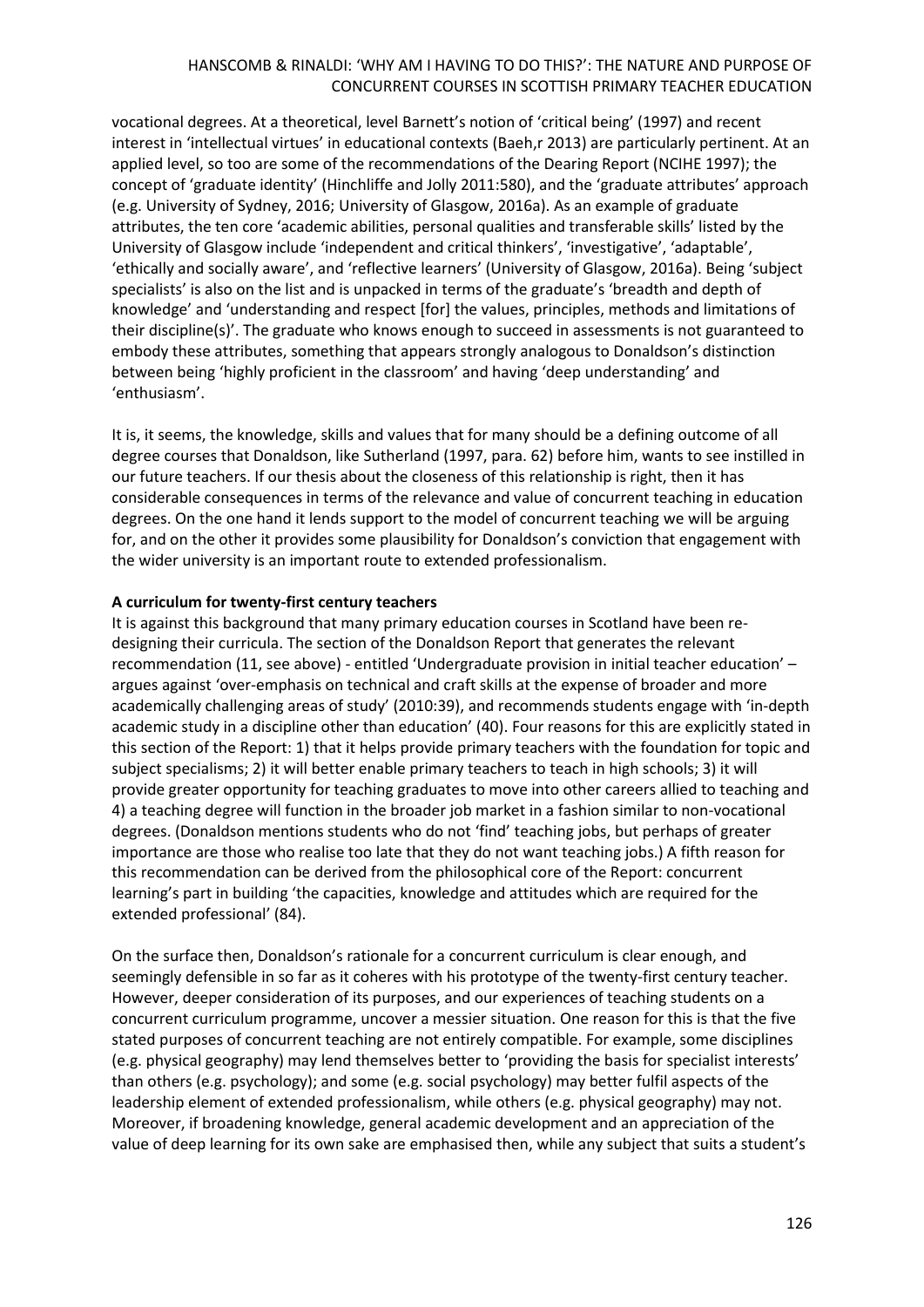vocational degrees. At a theoretical, level Barnett's notion of 'critical being' (1997) and recent interest in 'intellectual virtues' in educational contexts (Baeh,r 2013) are particularly pertinent. At an applied level, so too are some of the recommendations of the Dearing Report (NCIHE 1997); the concept of 'graduate identity' (Hinchliffe and Jolly 2011:580), and the 'graduate attributes' approach (e.g. University of Sydney, 2016; University of Glasgow, 2016a). As an example of graduate attributes, the ten core 'academic abilities, personal qualities and transferable skills' listed by the University of Glasgow include 'independent and critical thinkers', 'investigative', 'adaptable', 'ethically and socially aware', and 'reflective learners' (University of Glasgow, 2016a). Being 'subject specialists' is also on the list and is unpacked in terms of the graduate's 'breadth and depth of knowledge' and 'understanding and respect [for] the values, principles, methods and limitations of their discipline(s)'. The graduate who knows enough to succeed in assessments is not guaranteed to embody these attributes, something that appears strongly analogous to Donaldson's distinction between being 'highly proficient in the classroom' and having 'deep understanding' and 'enthusiasm'.

It is, it seems, the knowledge, skills and values that for many should be a defining outcome of all degree courses that Donaldson, like Sutherland (1997, para. 62) before him, wants to see instilled in our future teachers. If our thesis about the closeness of this relationship is right, then it has considerable consequences in terms of the relevance and value of concurrent teaching in education degrees. On the one hand it lends support to the model of concurrent teaching we will be arguing for, and on the other it provides some plausibility for Donaldson's conviction that engagement with the wider university is an important route to extended professionalism.

## **A curriculum for twenty-first century teachers**

It is against this background that many primary education courses in Scotland have been redesigning their curricula. The section of the Donaldson Report that generates the relevant recommendation (11, see above) - entitled 'Undergraduate provision in initial teacher education' – argues against 'over-emphasis on technical and craft skills at the expense of broader and more academically challenging areas of study' (2010:39), and recommends students engage with 'in-depth academic study in a discipline other than education' (40). Four reasons for this are explicitly stated in this section of the Report: 1) that it helps provide primary teachers with the foundation for topic and subject specialisms; 2) it will better enable primary teachers to teach in high schools; 3) it will provide greater opportunity for teaching graduates to move into other careers allied to teaching and 4) a teaching degree will function in the broader job market in a fashion similar to non-vocational degrees. (Donaldson mentions students who do not 'find' teaching jobs, but perhaps of greater importance are those who realise too late that they do not want teaching jobs.) A fifth reason for this recommendation can be derived from the philosophical core of the Report: concurrent learning's part in building 'the capacities, knowledge and attitudes which are required for the extended professional' (84).

On the surface then, Donaldson's rationale for a concurrent curriculum is clear enough, and seemingly defensible in so far as it coheres with his prototype of the twenty-first century teacher. However, deeper consideration of its purposes, and our experiences of teaching students on a concurrent curriculum programme, uncover a messier situation. One reason for this is that the five stated purposes of concurrent teaching are not entirely compatible. For example, some disciplines (e.g. physical geography) may lend themselves better to 'providing the basis for specialist interests' than others (e.g. psychology); and some (e.g. social psychology) may better fulfil aspects of the leadership element of extended professionalism, while others (e.g. physical geography) may not. Moreover, if broadening knowledge, general academic development and an appreciation of the value of deep learning for its own sake are emphasised then, while any subject that suits a student's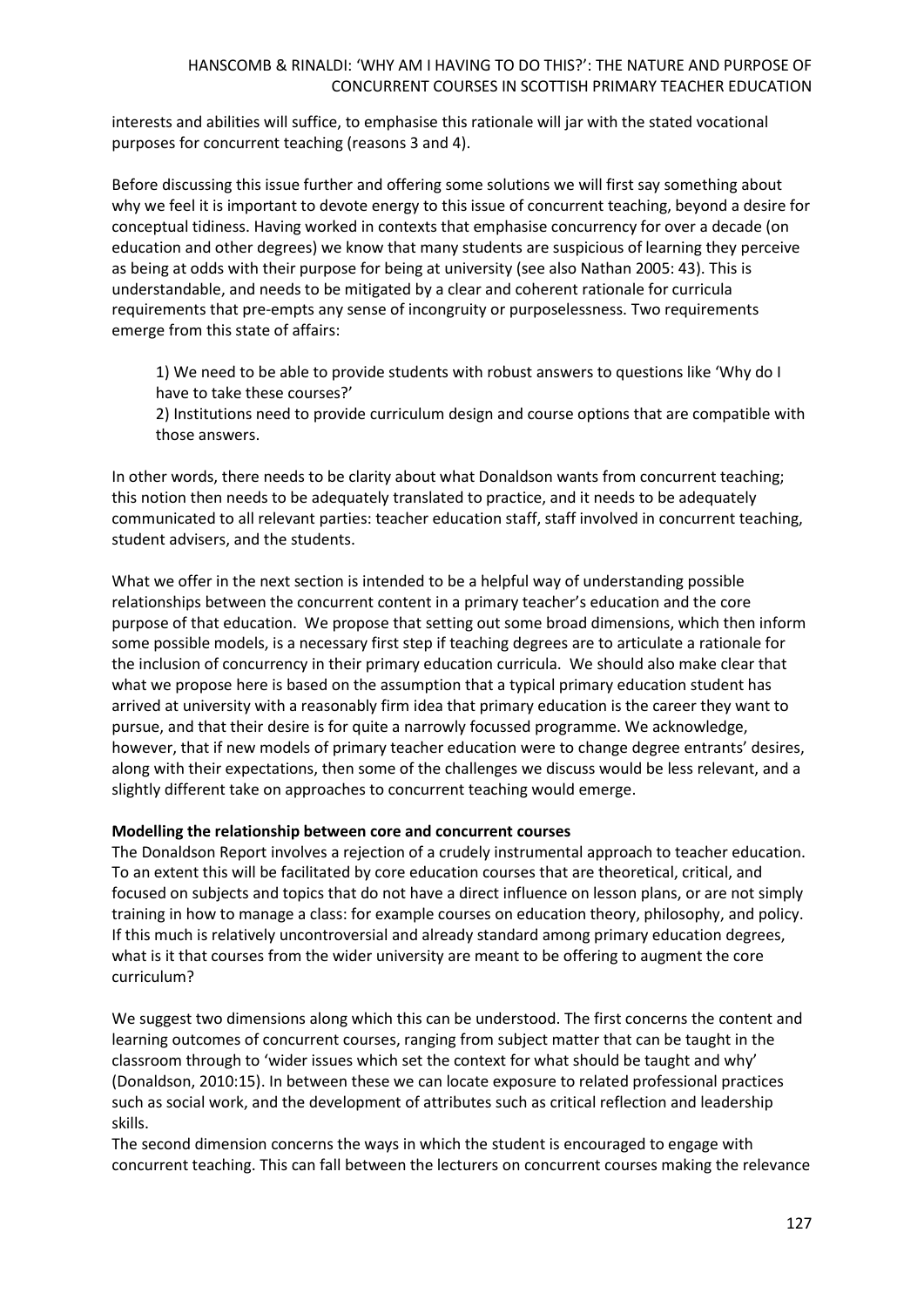interests and abilities will suffice, to emphasise this rationale will jar with the stated vocational purposes for concurrent teaching (reasons 3 and 4).

Before discussing this issue further and offering some solutions we will first say something about why we feel it is important to devote energy to this issue of concurrent teaching, beyond a desire for conceptual tidiness. Having worked in contexts that emphasise concurrency for over a decade (on education and other degrees) we know that many students are suspicious of learning they perceive as being at odds with their purpose for being at university (see also Nathan 2005: 43). This is understandable, and needs to be mitigated by a clear and coherent rationale for curricula requirements that pre-empts any sense of incongruity or purposelessness. Two requirements emerge from this state of affairs:

1) We need to be able to provide students with robust answers to questions like 'Why do I have to take these courses?'

2) Institutions need to provide curriculum design and course options that are compatible with those answers.

In other words, there needs to be clarity about what Donaldson wants from concurrent teaching; this notion then needs to be adequately translated to practice, and it needs to be adequately communicated to all relevant parties: teacher education staff, staff involved in concurrent teaching, student advisers, and the students.

What we offer in the next section is intended to be a helpful way of understanding possible relationships between the concurrent content in a primary teacher's education and the core purpose of that education. We propose that setting out some broad dimensions, which then inform some possible models, is a necessary first step if teaching degrees are to articulate a rationale for the inclusion of concurrency in their primary education curricula. We should also make clear that what we propose here is based on the assumption that a typical primary education student has arrived at university with a reasonably firm idea that primary education is the career they want to pursue, and that their desire is for quite a narrowly focussed programme. We acknowledge, however, that if new models of primary teacher education were to change degree entrants' desires, along with their expectations, then some of the challenges we discuss would be less relevant, and a slightly different take on approaches to concurrent teaching would emerge.

## **Modelling the relationship between core and concurrent courses**

The Donaldson Report involves a rejection of a crudely instrumental approach to teacher education. To an extent this will be facilitated by core education courses that are theoretical, critical, and focused on subjects and topics that do not have a direct influence on lesson plans, or are not simply training in how to manage a class: for example courses on education theory, philosophy, and policy. If this much is relatively uncontroversial and already standard among primary education degrees, what is it that courses from the wider university are meant to be offering to augment the core curriculum?

We suggest two dimensions along which this can be understood. The first concerns the content and learning outcomes of concurrent courses, ranging from subject matter that can be taught in the classroom through to 'wider issues which set the context for what should be taught and why' (Donaldson, 2010:15). In between these we can locate exposure to related professional practices such as social work, and the development of attributes such as critical reflection and leadership skills.

The second dimension concerns the ways in which the student is encouraged to engage with concurrent teaching. This can fall between the lecturers on concurrent courses making the relevance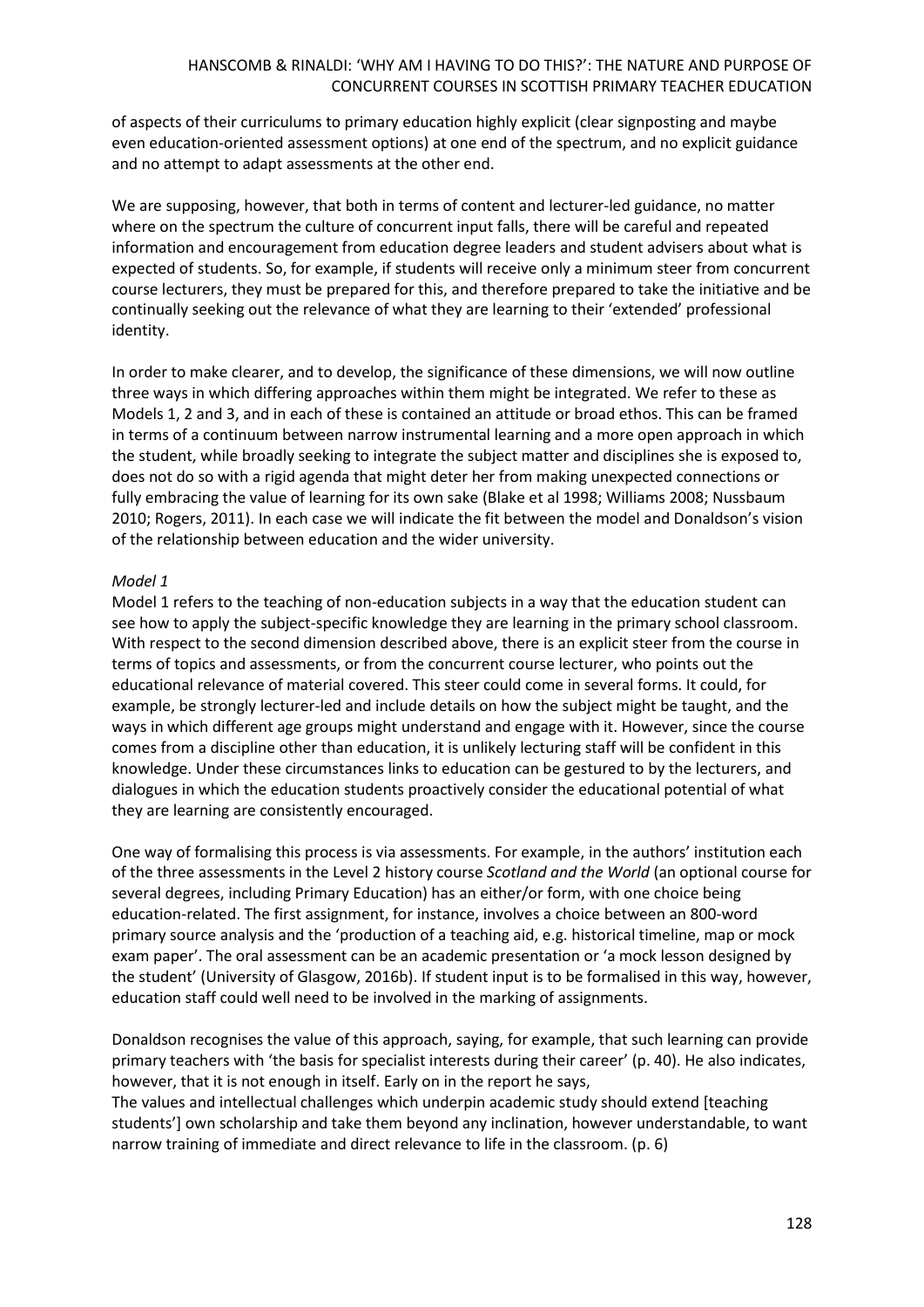of aspects of their curriculums to primary education highly explicit (clear signposting and maybe even education-oriented assessment options) at one end of the spectrum, and no explicit guidance and no attempt to adapt assessments at the other end.

We are supposing, however, that both in terms of content and lecturer-led guidance, no matter where on the spectrum the culture of concurrent input falls, there will be careful and repeated information and encouragement from education degree leaders and student advisers about what is expected of students. So, for example, if students will receive only a minimum steer from concurrent course lecturers, they must be prepared for this, and therefore prepared to take the initiative and be continually seeking out the relevance of what they are learning to their 'extended' professional identity.

In order to make clearer, and to develop, the significance of these dimensions, we will now outline three ways in which differing approaches within them might be integrated. We refer to these as Models 1, 2 and 3, and in each of these is contained an attitude or broad ethos. This can be framed in terms of a continuum between narrow instrumental learning and a more open approach in which the student, while broadly seeking to integrate the subject matter and disciplines she is exposed to, does not do so with a rigid agenda that might deter her from making unexpected connections or fully embracing the value of learning for its own sake (Blake et al 1998; Williams 2008; Nussbaum 2010; Rogers, 2011). In each case we will indicate the fit between the model and Donaldson's vision of the relationship between education and the wider university.

## *Model 1*

Model 1 refers to the teaching of non-education subjects in a way that the education student can see how to apply the subject-specific knowledge they are learning in the primary school classroom. With respect to the second dimension described above, there is an explicit steer from the course in terms of topics and assessments, or from the concurrent course lecturer, who points out the educational relevance of material covered. This steer could come in several forms. It could, for example, be strongly lecturer-led and include details on how the subject might be taught, and the ways in which different age groups might understand and engage with it. However, since the course comes from a discipline other than education, it is unlikely lecturing staff will be confident in this knowledge. Under these circumstances links to education can be gestured to by the lecturers, and dialogues in which the education students proactively consider the educational potential of what they are learning are consistently encouraged.

One way of formalising this process is via assessments. For example, in the authors' institution each of the three assessments in the Level 2 history course *Scotland and the World* (an optional course for several degrees, including Primary Education) has an either/or form, with one choice being education-related. The first assignment, for instance, involves a choice between an 800-word primary source analysis and the 'production of a teaching aid, e.g. historical timeline, map or mock exam paper'. The oral assessment can be an academic presentation or 'a mock lesson designed by the student' (University of Glasgow, 2016b). If student input is to be formalised in this way, however, education staff could well need to be involved in the marking of assignments.

Donaldson recognises the value of this approach, saying, for example, that such learning can provide primary teachers with 'the basis for specialist interests during their career' (p. 40). He also indicates, however, that it is not enough in itself. Early on in the report he says,

The values and intellectual challenges which underpin academic study should extend [teaching students'] own scholarship and take them beyond any inclination, however understandable, to want narrow training of immediate and direct relevance to life in the classroom. (p. 6)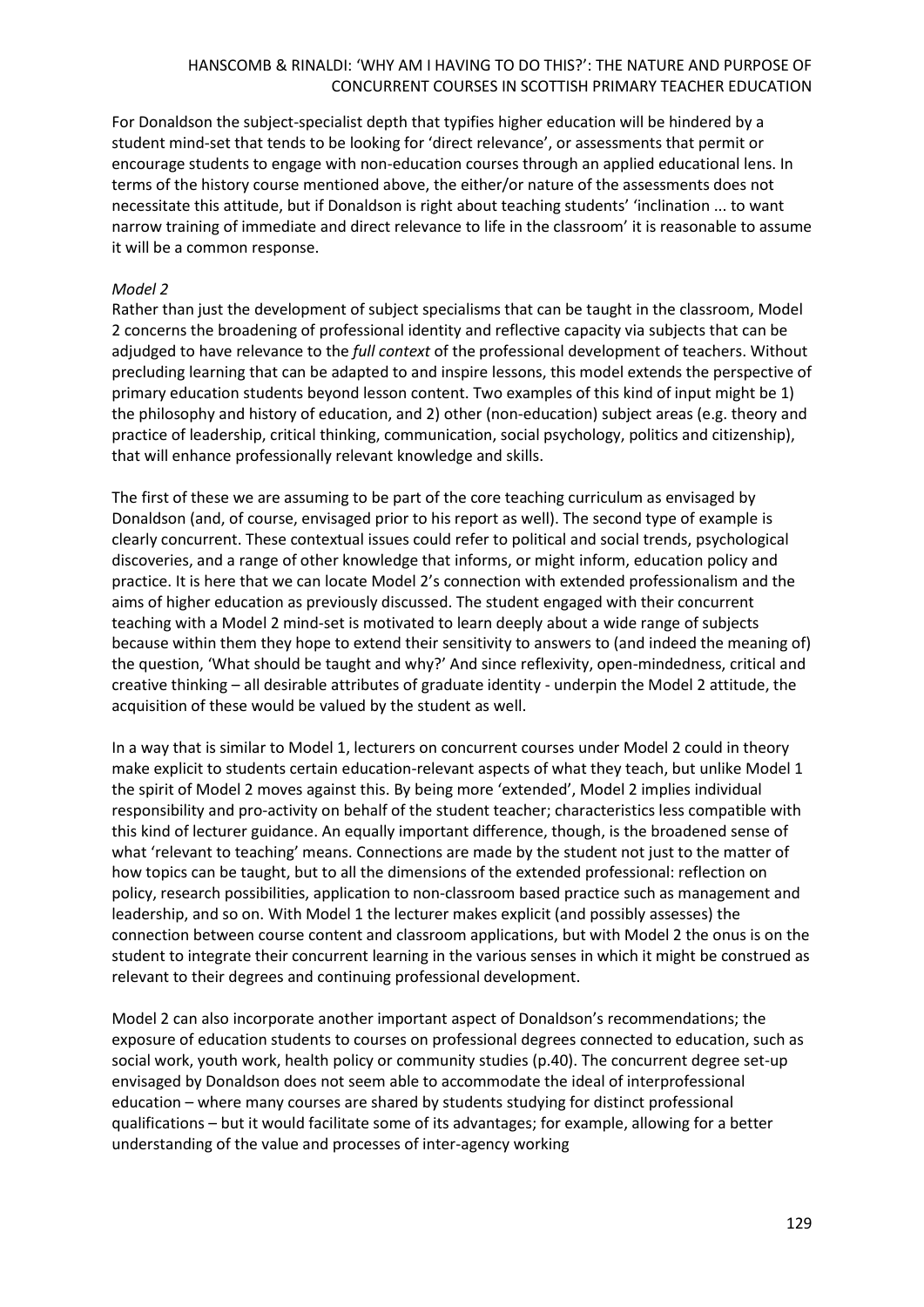For Donaldson the subject-specialist depth that typifies higher education will be hindered by a student mind-set that tends to be looking for 'direct relevance', or assessments that permit or encourage students to engage with non-education courses through an applied educational lens. In terms of the history course mentioned above, the either/or nature of the assessments does not necessitate this attitude, but if Donaldson is right about teaching students' 'inclination ... to want narrow training of immediate and direct relevance to life in the classroom' it is reasonable to assume it will be a common response.

### *Model 2*

Rather than just the development of subject specialisms that can be taught in the classroom, Model 2 concerns the broadening of professional identity and reflective capacity via subjects that can be adjudged to have relevance to the *full context* of the professional development of teachers. Without precluding learning that can be adapted to and inspire lessons, this model extends the perspective of primary education students beyond lesson content. Two examples of this kind of input might be 1) the philosophy and history of education, and 2) other (non-education) subject areas (e.g. theory and practice of leadership, critical thinking, communication, social psychology, politics and citizenship), that will enhance professionally relevant knowledge and skills.

The first of these we are assuming to be part of the core teaching curriculum as envisaged by Donaldson (and, of course, envisaged prior to his report as well). The second type of example is clearly concurrent. These contextual issues could refer to political and social trends, psychological discoveries, and a range of other knowledge that informs, or might inform, education policy and practice. It is here that we can locate Model 2's connection with extended professionalism and the aims of higher education as previously discussed. The student engaged with their concurrent teaching with a Model 2 mind-set is motivated to learn deeply about a wide range of subjects because within them they hope to extend their sensitivity to answers to (and indeed the meaning of) the question, 'What should be taught and why?' And since reflexivity, open-mindedness, critical and creative thinking – all desirable attributes of graduate identity - underpin the Model 2 attitude, the acquisition of these would be valued by the student as well.

In a way that is similar to Model 1, lecturers on concurrent courses under Model 2 could in theory make explicit to students certain education-relevant aspects of what they teach, but unlike Model 1 the spirit of Model 2 moves against this. By being more 'extended', Model 2 implies individual responsibility and pro-activity on behalf of the student teacher; characteristics less compatible with this kind of lecturer guidance. An equally important difference, though, is the broadened sense of what 'relevant to teaching' means. Connections are made by the student not just to the matter of how topics can be taught, but to all the dimensions of the extended professional: reflection on policy, research possibilities, application to non-classroom based practice such as management and leadership, and so on. With Model 1 the lecturer makes explicit (and possibly assesses) the connection between course content and classroom applications, but with Model 2 the onus is on the student to integrate their concurrent learning in the various senses in which it might be construed as relevant to their degrees and continuing professional development.

Model 2 can also incorporate another important aspect of Donaldson's recommendations; the exposure of education students to courses on professional degrees connected to education, such as social work, youth work, health policy or community studies (p.40). The concurrent degree set-up envisaged by Donaldson does not seem able to accommodate the ideal of interprofessional education – where many courses are shared by students studying for distinct professional qualifications – but it would facilitate some of its advantages; for example, allowing for a better understanding of the value and processes of inter-agency working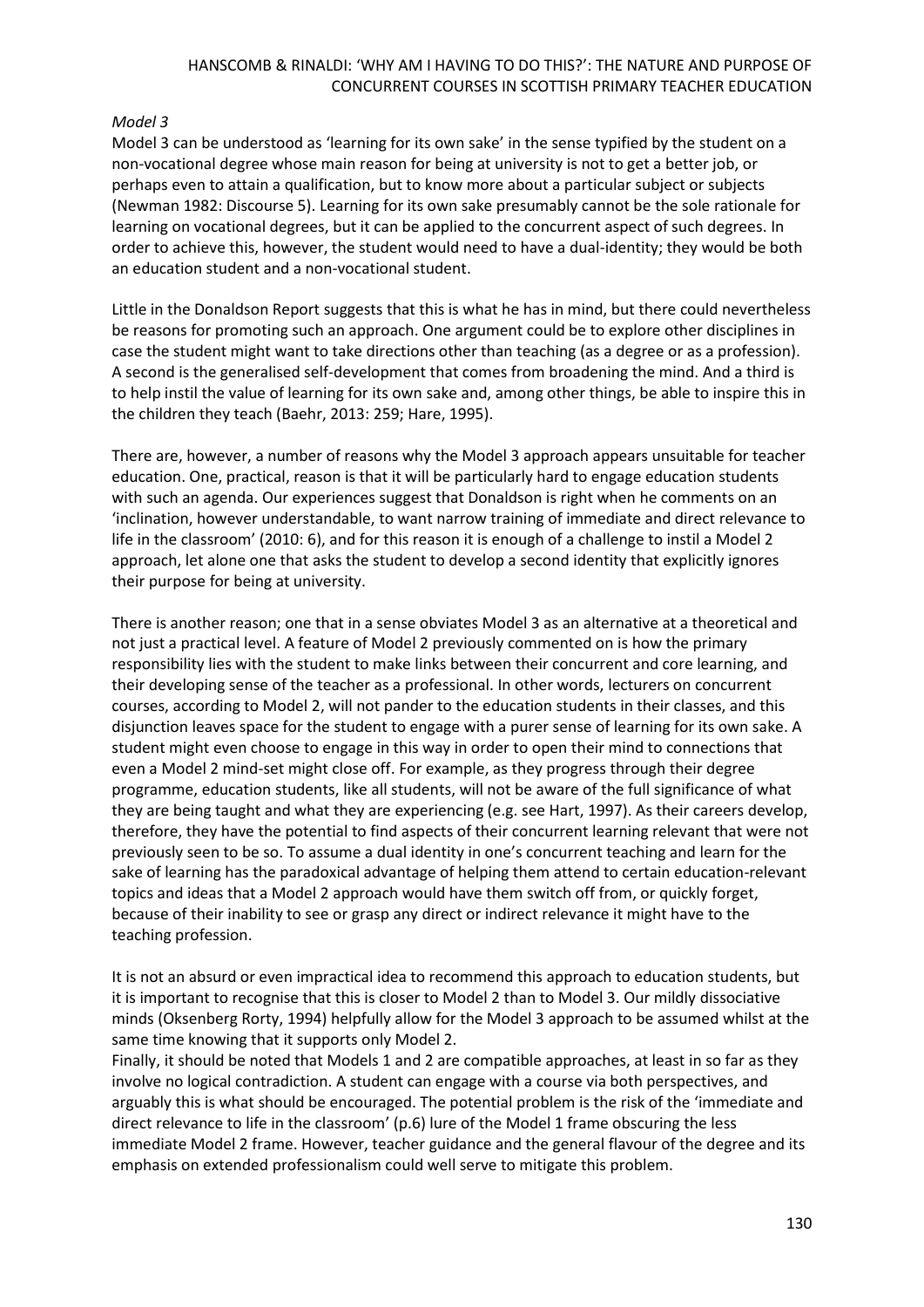# *Model 3*

Model 3 can be understood as 'learning for its own sake' in the sense typified by the student on a non-vocational degree whose main reason for being at university is not to get a better job, or perhaps even to attain a qualification, but to know more about a particular subject or subjects (Newman 1982: Discourse 5). Learning for its own sake presumably cannot be the sole rationale for learning on vocational degrees, but it can be applied to the concurrent aspect of such degrees. In order to achieve this, however, the student would need to have a dual-identity; they would be both an education student and a non-vocational student.

Little in the Donaldson Report suggests that this is what he has in mind, but there could nevertheless be reasons for promoting such an approach. One argument could be to explore other disciplines in case the student might want to take directions other than teaching (as a degree or as a profession). A second is the generalised self-development that comes from broadening the mind. And a third is to help instil the value of learning for its own sake and, among other things, be able to inspire this in the children they teach (Baehr, 2013: 259; Hare, 1995).

There are, however, a number of reasons why the Model 3 approach appears unsuitable for teacher education. One, practical, reason is that it will be particularly hard to engage education students with such an agenda. Our experiences suggest that Donaldson is right when he comments on an 'inclination, however understandable, to want narrow training of immediate and direct relevance to life in the classroom' (2010: 6), and for this reason it is enough of a challenge to instil a Model 2 approach, let alone one that asks the student to develop a second identity that explicitly ignores their purpose for being at university.

There is another reason; one that in a sense obviates Model 3 as an alternative at a theoretical and not just a practical level. A feature of Model 2 previously commented on is how the primary responsibility lies with the student to make links between their concurrent and core learning, and their developing sense of the teacher as a professional. In other words, lecturers on concurrent courses, according to Model 2, will not pander to the education students in their classes, and this disjunction leaves space for the student to engage with a purer sense of learning for its own sake. A student might even choose to engage in this way in order to open their mind to connections that even a Model 2 mind-set might close off. For example, as they progress through their degree programme, education students, like all students, will not be aware of the full significance of what they are being taught and what they are experiencing (e.g. see Hart, 1997). As their careers develop, therefore, they have the potential to find aspects of their concurrent learning relevant that were not previously seen to be so. To assume a dual identity in one's concurrent teaching and learn for the sake of learning has the paradoxical advantage of helping them attend to certain education-relevant topics and ideas that a Model 2 approach would have them switch off from, or quickly forget, because of their inability to see or grasp any direct or indirect relevance it might have to the teaching profession.

It is not an absurd or even impractical idea to recommend this approach to education students, but it is important to recognise that this is closer to Model 2 than to Model 3. Our mildly dissociative minds (Oksenberg Rorty, 1994) helpfully allow for the Model 3 approach to be assumed whilst at the same time knowing that it supports only Model 2.

Finally, it should be noted that Models 1 and 2 are compatible approaches, at least in so far as they involve no logical contradiction. A student can engage with a course via both perspectives, and arguably this is what should be encouraged. The potential problem is the risk of the 'immediate and direct relevance to life in the classroom' (p.6) lure of the Model 1 frame obscuring the less immediate Model 2 frame. However, teacher guidance and the general flavour of the degree and its emphasis on extended professionalism could well serve to mitigate this problem.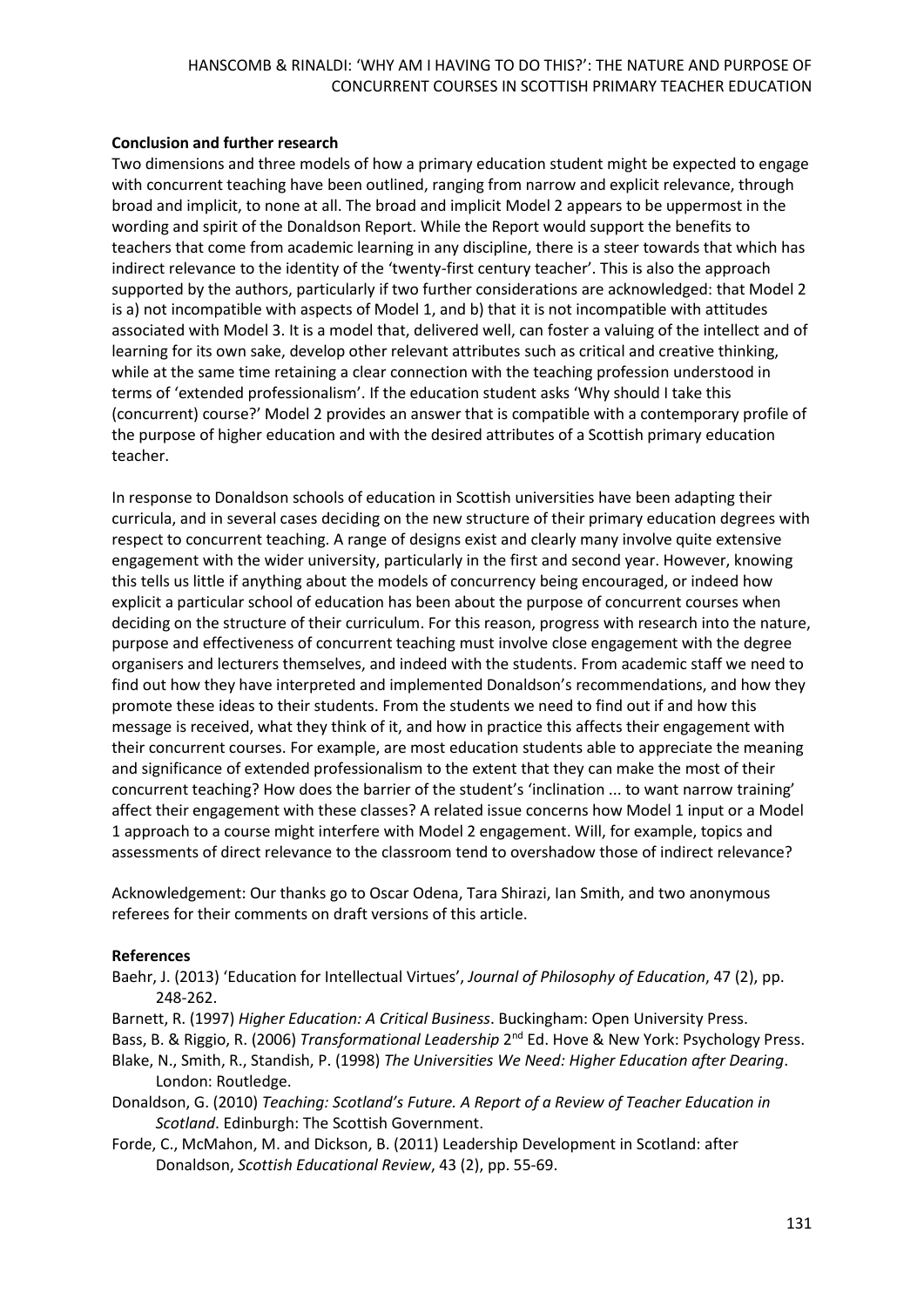## **Conclusion and further research**

Two dimensions and three models of how a primary education student might be expected to engage with concurrent teaching have been outlined, ranging from narrow and explicit relevance, through broad and implicit, to none at all. The broad and implicit Model 2 appears to be uppermost in the wording and spirit of the Donaldson Report. While the Report would support the benefits to teachers that come from academic learning in any discipline, there is a steer towards that which has indirect relevance to the identity of the 'twenty-first century teacher'. This is also the approach supported by the authors, particularly if two further considerations are acknowledged: that Model 2 is a) not incompatible with aspects of Model 1, and b) that it is not incompatible with attitudes associated with Model 3. It is a model that, delivered well, can foster a valuing of the intellect and of learning for its own sake, develop other relevant attributes such as critical and creative thinking, while at the same time retaining a clear connection with the teaching profession understood in terms of 'extended professionalism'. If the education student asks 'Why should I take this (concurrent) course?' Model 2 provides an answer that is compatible with a contemporary profile of the purpose of higher education and with the desired attributes of a Scottish primary education teacher.

In response to Donaldson schools of education in Scottish universities have been adapting their curricula, and in several cases deciding on the new structure of their primary education degrees with respect to concurrent teaching. A range of designs exist and clearly many involve quite extensive engagement with the wider university, particularly in the first and second year. However, knowing this tells us little if anything about the models of concurrency being encouraged, or indeed how explicit a particular school of education has been about the purpose of concurrent courses when deciding on the structure of their curriculum. For this reason, progress with research into the nature, purpose and effectiveness of concurrent teaching must involve close engagement with the degree organisers and lecturers themselves, and indeed with the students. From academic staff we need to find out how they have interpreted and implemented Donaldson's recommendations, and how they promote these ideas to their students. From the students we need to find out if and how this message is received, what they think of it, and how in practice this affects their engagement with their concurrent courses. For example, are most education students able to appreciate the meaning and significance of extended professionalism to the extent that they can make the most of their concurrent teaching? How does the barrier of the student's 'inclination ... to want narrow training' affect their engagement with these classes? A related issue concerns how Model 1 input or a Model 1 approach to a course might interfere with Model 2 engagement. Will, for example, topics and assessments of direct relevance to the classroom tend to overshadow those of indirect relevance?

Acknowledgement: Our thanks go to Oscar Odena, Tara Shirazi, Ian Smith, and two anonymous referees for their comments on draft versions of this article.

#### **References**

- Baehr, J. (2013) 'Education for Intellectual Virtues', *Journal of Philosophy of Education*, 47 (2), pp. 248-262.
- Barnett, R. (1997) *Higher Education: A Critical Business*. Buckingham: Open University Press.
- Bass, B. & Riggio, R. (2006) *Transformational Leadership* 2<sup>nd</sup> Ed. Hove & New York: Psychology Press.
- Blake, N., Smith, R., Standish, P. (1998) *The Universities We Need: Higher Education after Dearing*. London: Routledge.
- Donaldson, G. (2010) *Teaching: Scotland's Future. A Report of a Review of Teacher Education in Scotland*. Edinburgh: The Scottish Government.
- Forde, C., McMahon, M. and Dickson, B. (2011) Leadership Development in Scotland: after Donaldson, *Scottish Educational Review*, 43 (2), pp. 55-69.